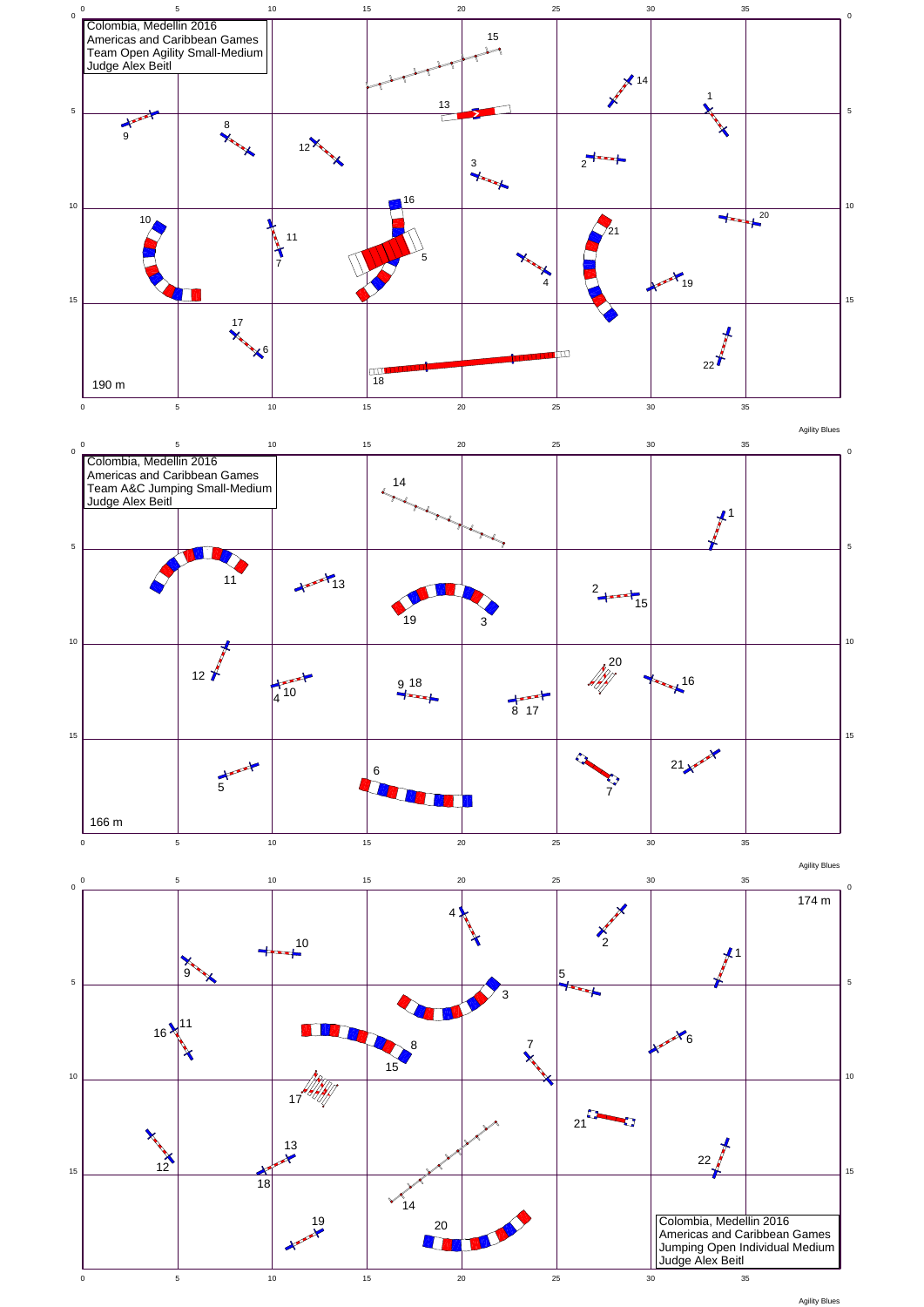

Agility Blues